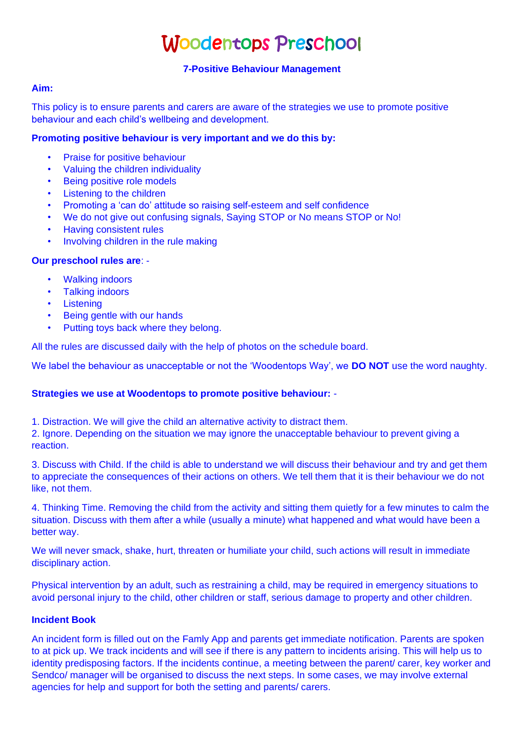# Woodentops Preschool

## **7-Positive Behaviour Management**

#### **Aim:**

This policy is to ensure parents and carers are aware of the strategies we use to promote positive behaviour and each child's wellbeing and development.

#### **Promoting positive behaviour is very important and we do this by:**

- Praise for positive behaviour
- Valuing the children individuality
- **Being positive role models**
- **Listening to the children**
- Promoting a 'can do' attitude so raising self-esteem and self confidence
- We do not give out confusing signals, Saying STOP or No means STOP or No!
- Having consistent rules
- Involving children in the rule making

#### **Our preschool rules are**: -

- Walking indoors
- Talking indoors
- Listening
- **Being gentle with our hands**
- Putting toys back where they belong.

All the rules are discussed daily with the help of photos on the schedule board.

We label the behaviour as unacceptable or not the 'Woodentops Way', we **DO NOT** use the word naughty.

#### **Strategies we use at Woodentops to promote positive behaviour:** -

1. Distraction. We will give the child an alternative activity to distract them.

2. Ignore. Depending on the situation we may ignore the unacceptable behaviour to prevent giving a reaction.

3. Discuss with Child. If the child is able to understand we will discuss their behaviour and try and get them to appreciate the consequences of their actions on others. We tell them that it is their behaviour we do not like, not them.

4. Thinking Time. Removing the child from the activity and sitting them quietly for a few minutes to calm the situation. Discuss with them after a while (usually a minute) what happened and what would have been a better way.

We will never smack, shake, hurt, threaten or humiliate your child, such actions will result in immediate disciplinary action.

Physical intervention by an adult, such as restraining a child, may be required in emergency situations to avoid personal injury to the child, other children or staff, serious damage to property and other children.

#### **Incident Book**

An incident form is filled out on the Famly App and parents get immediate notification. Parents are spoken to at pick up. We track incidents and will see if there is any pattern to incidents arising. This will help us to identity predisposing factors. If the incidents continue, a meeting between the parent/ carer, key worker and Sendco/ manager will be organised to discuss the next steps. In some cases, we may involve external agencies for help and support for both the setting and parents/ carers.